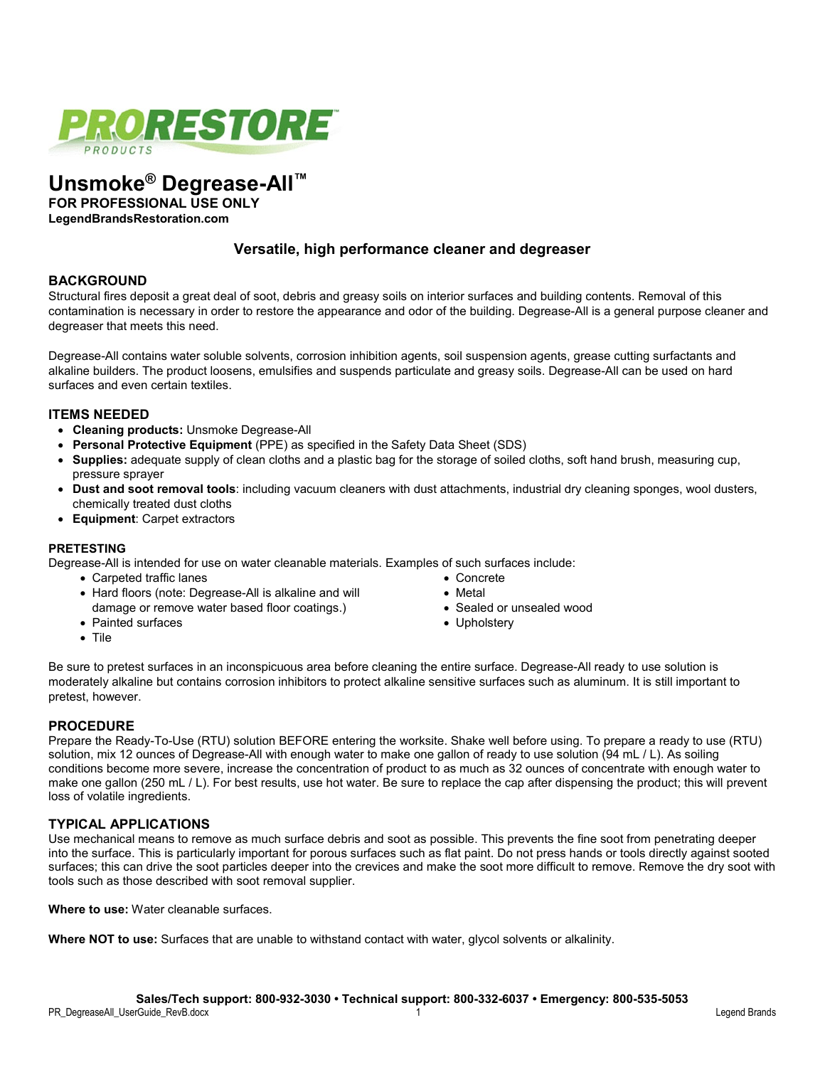

# **Unsmoke® Degrease-All™**

**FOR PROFESSIONAL USE ONLY**

**LegendBrandsRestoration.com**

## **Versatile, high performance cleaner and degreaser**

## **BACKGROUND**

Structural fires deposit a great deal of soot, debris and greasy soils on interior surfaces and building contents. Removal of this contamination is necessary in order to restore the appearance and odor of the building. Degrease-All is a general purpose cleaner and degreaser that meets this need.

Degrease-All contains water soluble solvents, corrosion inhibition agents, soil suspension agents, grease cutting surfactants and alkaline builders. The product loosens, emulsifies and suspends particulate and greasy soils. Degrease-All can be used on hard surfaces and even certain textiles.

## **ITEMS NEEDED**

- **Cleaning products:** Unsmoke Degrease-All
- **Personal Protective Equipment** (PPE) as specified in the Safety Data Sheet (SDS)
- **Supplies:** adequate supply of clean cloths and a plastic bag for the storage of soiled cloths, soft hand brush, measuring cup, pressure sprayer
- **Dust and soot removal tools**: including vacuum cleaners with dust attachments, industrial dry cleaning sponges, wool dusters, chemically treated dust cloths
- **Equipment**: Carpet extractors

## **PRETESTING**

Degrease-All is intended for use on water cleanable materials. Examples of such surfaces include:

• Carpeted traffic lanes

• Painted surfaces

- Hard floors (note: Degrease-All is alkaline and will damage or remove water based floor coatings.)
- Concrete • Metal
- Sealed or unsealed wood
- Upholstery

• Tile

Be sure to pretest surfaces in an inconspicuous area before cleaning the entire surface. Degrease-All ready to use solution is moderately alkaline but contains corrosion inhibitors to protect alkaline sensitive surfaces such as aluminum. It is still important to pretest, however.

## **PROCEDURE**

Prepare the Ready-To-Use (RTU) solution BEFORE entering the worksite. Shake well before using. To prepare a ready to use (RTU) solution, mix 12 ounces of Degrease-All with enough water to make one gallon of ready to use solution (94 mL / L). As soiling conditions become more severe, increase the concentration of product to as much as 32 ounces of concentrate with enough water to make one gallon (250 mL / L). For best results, use hot water. Be sure to replace the cap after dispensing the product; this will prevent loss of volatile ingredients.

## **TYPICAL APPLICATIONS**

Use mechanical means to remove as much surface debris and soot as possible. This prevents the fine soot from penetrating deeper into the surface. This is particularly important for porous surfaces such as flat paint. Do not press hands or tools directly against sooted surfaces; this can drive the soot particles deeper into the crevices and make the soot more difficult to remove. Remove the dry soot with tools such as those described with soot removal supplier.

**Where to use:** Water cleanable surfaces.

**Where NOT to use:** Surfaces that are unable to withstand contact with water, glycol solvents or alkalinity.